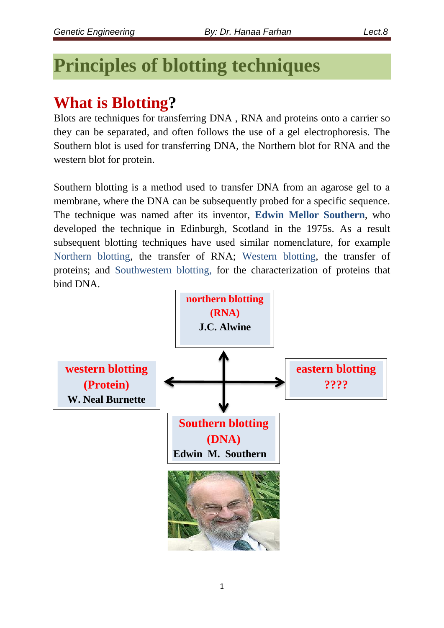# **Principles of blotting techniques**

## **What is Blotting?**

Blots are techniques for transferring DNA , RNA and proteins onto a carrier so they can be separated, and often follows the use of a gel electrophoresis. The Southern blot is used for transferring DNA, the Northern blot for RNA and the western blot for protein.

Southern blotting is a method used to transfer DNA from an agarose gel to a membrane, where the DNA can be subsequently probed for a specific sequence. The technique was named after its inventor, **Edwin Mellor Southern**, who developed the technique in Edinburgh, Scotland in the 1975s. As a result subsequent blotting techniques have used similar nomenclature, for example Northern blotting, the transfer of RNA; Western blotting, the transfer of proteins; and Southwestern blotting, for the characterization of proteins that bind DNA.

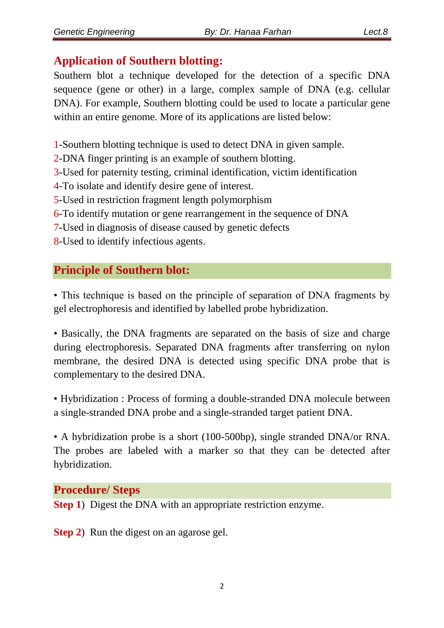## **Application of Southern blotting:**

Southern blot a technique developed for the detection of a specific DNA sequence (gene or other) in a large, complex sample of DNA (e.g. cellular DNA). For example, Southern blotting could be used to locate a particular gene within an entire genome. More of its applications are listed below:

1-Southern blotting technique is used to detect DNA in given sample.

2-DNA finger printing is an example of southern blotting.

3-Used for paternity testing, criminal identification, victim identification

4-To isolate and identify desire gene of interest.

5-Used in restriction fragment length polymorphism

6-To identify mutation or gene rearrangement in the sequence of DNA

7-Used in diagnosis of disease caused by genetic defects

8-Used to identify infectious agents.

## **Principle of Southern blot:**

• This technique is based on the principle of separation of DNA fragments by gel electrophoresis and identified by labelled probe hybridization.

• Basically, the DNA fragments are separated on the basis of size and charge during electrophoresis. Separated DNA fragments after transferring on nylon membrane, the desired DNA is detected using specific DNA probe that is complementary to the desired DNA.

• Hybridization : Process of forming a double-stranded DNA molecule between a single-stranded DNA probe and a single-stranded target patient DNA.

• A hybridization probe is a short (100-500bp), single stranded DNA/or RNA. The probes are labeled with a marker so that they can be detected after hybridization.

## **Procedure/ Steps**

**Step 1**) Digest the DNA with an appropriate restriction enzyme.

**Step 2**) Run the digest on an agarose gel.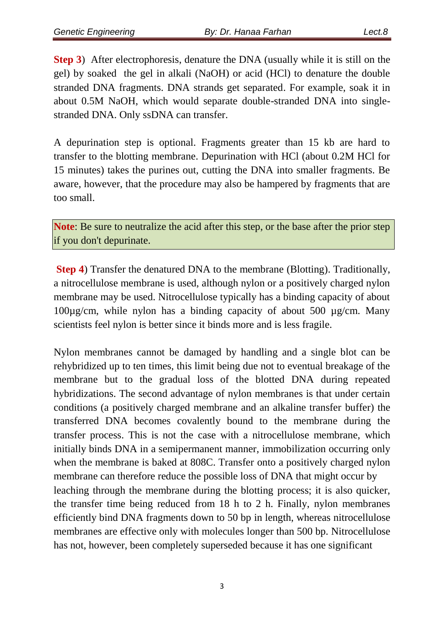**Step 3**) After electrophoresis, denature the DNA (usually while it is still on the gel) by soaked the gel in alkali (NaOH) or acid (HCl) to denature the double stranded DNA fragments. DNA strands get separated. For example, soak it in about 0.5M NaOH, which would separate double-stranded DNA into singlestranded DNA. Only ssDNA can transfer.

A depurination step is optional. Fragments greater than 15 kb are hard to transfer to the blotting membrane. Depurination with HCl (about 0.2M HCl for 15 minutes) takes the purines out, cutting the DNA into smaller fragments. Be aware, however, that the procedure may also be hampered by fragments that are too small.

**Note**: Be sure to neutralize the acid after this step, or the base after the prior step if you don't depurinate.

**Step 4**) Transfer the denatured DNA to the membrane (Blotting). Traditionally, a nitrocellulose membrane is used, although nylon or a positively charged nylon membrane may be used. Nitrocellulose typically has a binding capacity of about 100µg/cm, while nylon has a binding capacity of about 500 µg/cm. Many scientists feel nylon is better since it binds more and is less fragile.

Nylon membranes cannot be damaged by handling and a single blot can be rehybridized up to ten times, this limit being due not to eventual breakage of the membrane but to the gradual loss of the blotted DNA during repeated hybridizations. The second advantage of nylon membranes is that under certain conditions (a positively charged membrane and an alkaline transfer buffer) the transferred DNA becomes covalently bound to the membrane during the transfer process. This is not the case with a nitrocellulose membrane, which initially binds DNA in a semipermanent manner, immobilization occurring only when the membrane is baked at 808C. Transfer onto a positively charged nylon membrane can therefore reduce the possible loss of DNA that might occur by leaching through the membrane during the blotting process; it is also quicker, the transfer time being reduced from 18 h to 2 h. Finally, nylon membranes efficiently bind DNA fragments down to 50 bp in length, whereas nitrocellulose membranes are effective only with molecules longer than 500 bp. Nitrocellulose has not, however, been completely superseded because it has one significant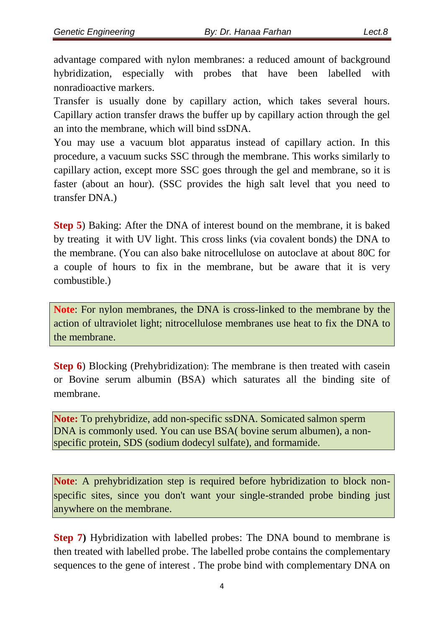advantage compared with nylon membranes: a reduced amount of background hybridization, especially with probes that have been labelled with nonradioactive markers.

Transfer is usually done by capillary action, which takes several hours. Capillary action transfer draws the buffer up by capillary action through the gel an into the membrane, which will bind ssDNA.

You may use a vacuum blot apparatus instead of capillary action. In this procedure, a vacuum sucks SSC through the membrane. This works similarly to capillary action, except more SSC goes through the gel and membrane, so it is faster (about an hour). (SSC provides the high salt level that you need to transfer DNA.)

**Step 5**) Baking: After the DNA of interest bound on the membrane, it is baked by treating it with UV light. This cross links (via covalent bonds) the DNA to the membrane. (You can also bake nitrocellulose on autoclave at about 80C for a couple of hours to fix in the membrane, but be aware that it is very combustible.)

**Note**: For nylon membranes, the DNA is cross-linked to the membrane by the action of ultraviolet light; nitrocellulose membranes use heat to fix the DNA to the membrane.

**Step 6**) Blocking (Prehybridization): The membrane is then treated with casein or Bovine serum albumin (BSA) which saturates all the binding site of membrane.

**Note:** To prehybridize, add non-specific ssDNA. Somicated salmon sperm DNA is commonly used. You can use BSA( bovine serum albumen), a nonspecific protein, SDS (sodium dodecyl sulfate), and formamide.

**Note**: A prehybridization step is required before hybridization to block nonspecific sites, since you don't want your single-stranded probe binding just anywhere on the membrane.

**Step 7)** Hybridization with labelled probes: The DNA bound to membrane is then treated with labelled probe. The labelled probe contains the complementary sequences to the gene of interest . The probe bind with complementary DNA on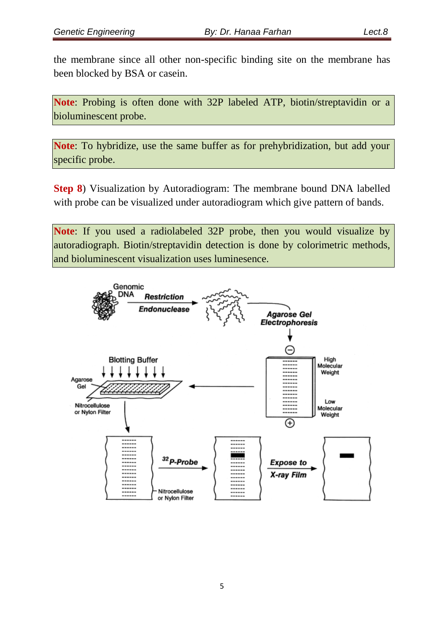the membrane since all other non-specific binding site on the membrane has been blocked by BSA or casein.

**Note**: Probing is often done with 32P labeled ATP, biotin/streptavidin or a bioluminescent probe.

**Note**: To hybridize, use the same buffer as for prehybridization, but add your specific probe.

**Step 8**) Visualization by Autoradiogram: The membrane bound DNA labelled with probe can be visualized under autoradiogram which give pattern of bands.

**Note**: If you used a radiolabeled 32P probe, then you would visualize by autoradiograph. Biotin/streptavidin detection is done by colorimetric methods, and bioluminescent visualization uses luminesence.

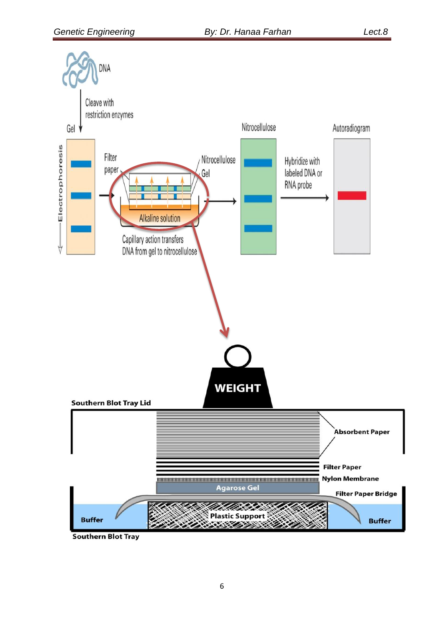

**Southern Blot Tray**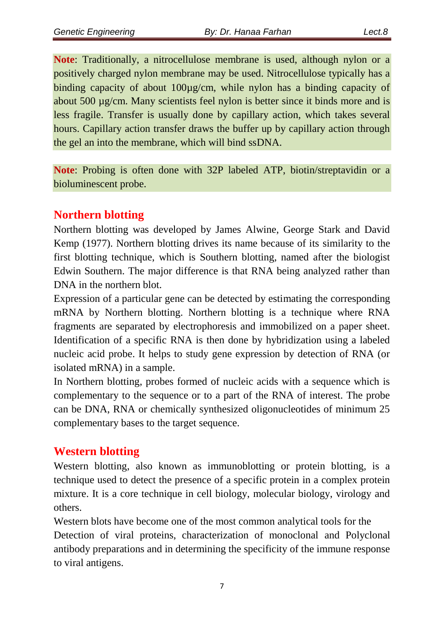**Note**: Traditionally, a nitrocellulose membrane is used, although nylon or a positively charged nylon membrane may be used. Nitrocellulose typically has a binding capacity of about 100µg/cm, while nylon has a binding capacity of about 500 µg/cm. Many scientists feel nylon is better since it binds more and is less fragile. Transfer is usually done by capillary action, which takes several hours. Capillary action transfer draws the buffer up by capillary action through the gel an into the membrane, which will bind ssDNA.

**Note**: Probing is often done with 32P labeled ATP, biotin/streptavidin or a bioluminescent probe.

## **Northern blotting**

Northern blotting was developed by James Alwine, George Stark and David Kemp (1977). Northern blotting drives its name because of its similarity to the first blotting technique, which is Southern blotting, named after the biologist Edwin Southern. The major difference is that RNA being analyzed rather than DNA in the northern blot.

Expression of a particular gene can be detected by estimating the corresponding mRNA by Northern blotting. Northern blotting is a technique where RNA fragments are separated by electrophoresis and immobilized on a paper sheet. Identification of a specific RNA is then done by hybridization using a labeled nucleic acid probe. It helps to study gene expression by detection of RNA (or isolated mRNA) in a sample.

In Northern blotting, probes formed of nucleic acids with a sequence which is complementary to the sequence or to a part of the RNA of interest. The probe can be DNA, RNA or chemically synthesized oligonucleotides of minimum 25 complementary bases to the target sequence.

## **Western blotting**

Western blotting, also known as immunoblotting or protein blotting, is a technique used to detect the presence of a specific protein in a complex protein mixture. It is a core technique in cell biology, molecular biology, virology and others.

Western blots have become one of the most common analytical tools for the Detection of viral proteins, characterization of monoclonal and Polyclonal antibody preparations and in determining the specificity of the immune response to viral antigens.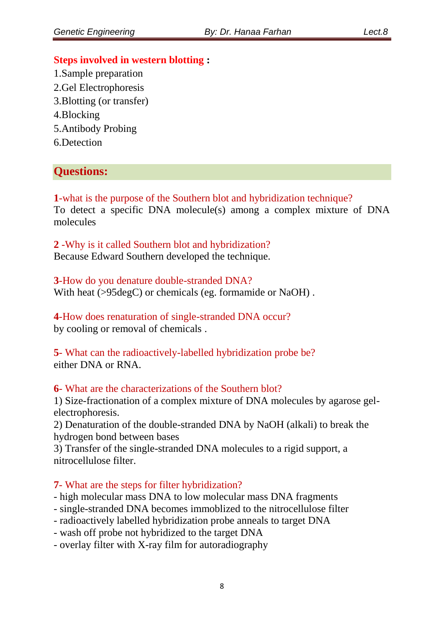#### **Steps involved in western blotting :**

1.Sample preparation 2.Gel Electrophoresis 3.Blotting (or transfer) 4.Blocking 5.Antibody Probing 6.Detection

## **Questions:**

**1**-what is the purpose of the Southern blot and hybridization technique? To detect a specific DNA molecule(s) among a complex mixture of DNA molecules

**2** -Why is it called Southern blot and hybridization? Because Edward Southern developed the technique.

**3**-How do you denature double-stranded DNA? With heat ( $>95 \text{deg}$ C) or chemicals (eg. formamide or NaOH).

**4**-How does renaturation of single-stranded DNA occur? by cooling or removal of chemicals .

**5**- What can the radioactively-labelled hybridization probe be? either DNA or RNA.

#### **6**- What are the characterizations of the Southern blot?

1) Size-fractionation of a complex mixture of DNA molecules by agarose gelelectrophoresis.

2) Denaturation of the double-stranded DNA by NaOH (alkali) to break the hydrogen bond between bases

3) Transfer of the single-stranded DNA molecules to a rigid support, a nitrocellulose filter.

#### **7**- What are the steps for filter hybridization?

- high molecular mass DNA to low molecular mass DNA fragments

- single-stranded DNA becomes immoblized to the nitrocellulose filter

- radioactively labelled hybridization probe anneals to target DNA
- wash off probe not hybridized to the target DNA
- overlay filter with X-ray film for autoradiography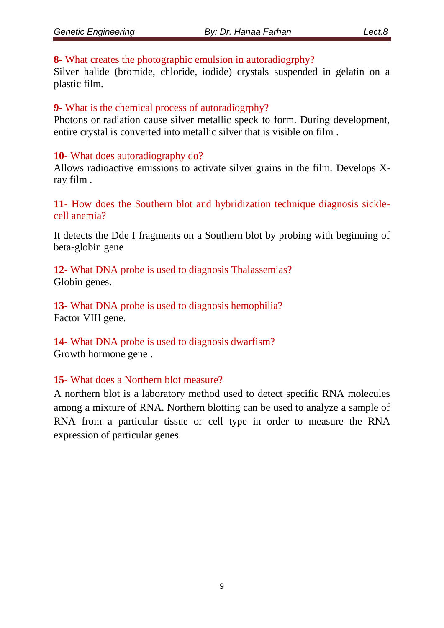#### **8**- What creates the photographic emulsion in autoradiogrphy?

Silver halide (bromide, chloride, iodide) crystals suspended in gelatin on a plastic film.

### **9**- What is the chemical process of autoradiogrphy?

Photons or radiation cause silver metallic speck to form. During development, entire crystal is converted into metallic silver that is visible on film .

#### **10**- What does autoradiography do?

Allows radioactive emissions to activate silver grains in the film. Develops Xray film .

**11**- How does the Southern blot and hybridization technique diagnosis sicklecell anemia?

It detects the Dde I fragments on a Southern blot by probing with beginning of beta-globin gene

**12**- What DNA probe is used to diagnosis Thalassemias? Globin genes.

**13**- What DNA probe is used to diagnosis hemophilia? Factor VIII gene.

**14**- What DNA probe is used to diagnosis dwarfism? Growth hormone gene .

## **15**- What does a Northern blot measure?

A northern blot is a laboratory method used to detect specific RNA molecules among a mixture of RNA. Northern blotting can be used to analyze a sample of RNA from a particular tissue or cell type in order to measure the RNA expression of particular genes.